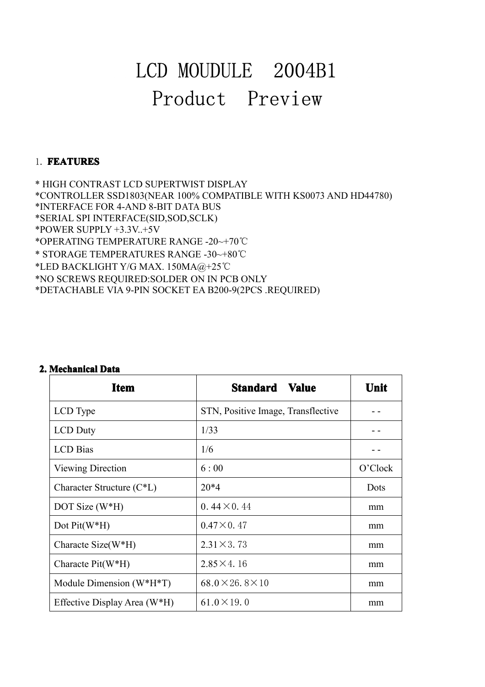# LCD MOUDULE 2004B1 Product Preview

### 1. **FEATURES FEATURES**

\* HIGH CONTRAST LCD SUPERTWIST DISPLAY<br>\*CONTROLLER SSD1803(NEAR 100% COMPATIE<br>\*INTERFACE FOR 4-AND 8-BIT DATA BUS<br>\*SERIAL SPI INTERFACE(SID,SOD,SCLK)<br>\*POWER SUPPLY +3.3V..+5V<br>\*OPERATING TEMPERATURE RANGE -20~+70℃ \* HIGH CONTRAST LCD SUPERTWIST DISPLAY<br>\*CONTROLLER SSD1803(NEAR 100% COMPATIBLE WITH KS0073 AND HD44780)<br>\*INTERFACE FOR 4-AND 8-BIT DATA BUS<br>\*SERIAL SPI INTERFACE(SID,SOD,SCLK)<br>\*POWER SUPPLY +3.3V..+5V<br>\*OPERATING TEMPERATU \*INTERFACE FOR 4-AND 8-BIT DATA BUS \*INTERFACE FOR 4-AND 8-BIT DATA BU:<br>\*SERIAL SPI INTERFACE(SID,SOD,SCLK)<br>\*POWER SUPPLY +3.3V..+5V<br>\*OPERATING TEMPERATURE RANGE -20<br>\* STORAGE TEMPERATURES RANGE -30<br>\*LED BACKLIGHT Y/G MAX. 150MA@+2<br>\*NO SCREWS REQUIRED:SOLDER SERIAL SPI INTERFACE(SII)<br>\*POWER SUPPLY +3.3V..+5V<br>\*OPERATING TEMPERATUR<br>\* STORAGE TEMPERATURE<br>\*LED BACKLIGHT Y/G MAX<br>\*NO SCREWS REQUIRED:SC<br>\*DETACHABLE VIA 9-PIN S \*POWER SUPPLY +3.3V..+5V<br>\*OPERATING TEMPERATURE RANGE -20~+70℃<br>\* STORAGE TEMPERATURES RANGE -30~+80℃<br>\*LED BACKLIGHT Y/G MAX. 150MA@+25℃<br>\*NO SCREWS REQUIRED:SOLDER ON IN PCB O<br>\*DETACHABLE VIA 9-PIN SOCKET EA B200-9(2I \*OPERATING TEMPERATURE RANGE -20~+70℃<br>\* STORAGE TEMPERATURES RANGE -30~+80℃<br>\*LED BACKLIGHT Y/G MAX. 150MA@+25℃<br>\*NO SCREWS REQUIRED:SOLDER ON IN PCB C<br>\*DETACHABLE VIA 9-PIN SOCKET EA B200-9(2) \* STORAGE TEMPERATURES RANGE -30~+8<br>\*LED BACKLIGHT Y/G MAX. 150MA@+25℃<br>\*NO SCREWS REQUIRED:SOLDER ON IN PC<br>\*DETACHABLE VIA 9-PIN SOCKET EA B200 \*LED BACKLIGHT Y/G MAX. 150MA@+25°C<br>\*NO SCREWS REQUIRED:SOLDER ON IN PCB ONLY<br>\*DETACHABLE VIA 9-PIN SOCKET EA B200-9(2PCS . \*DETACHABLE VIA 9-PIN SOCKET EA B200-9(2PCS .REQUIRED)

| <b>Item</b>                  | <b>Standard Value</b>              | Unit    |
|------------------------------|------------------------------------|---------|
| LCD Type                     | STN, Positive Image, Transflective |         |
| LCD Duty                     | 1/33                               | - -     |
| <b>LCD</b> Bias              | 1/6                                |         |
| Viewing Direction            | 6:00                               | O'Clock |
| Character Structure (C*L)    | $20*4$                             | Dots    |
| DOT Size (W*H)               | $0.44 \times 0.44$                 | mm      |
| Dot $Pit(W*H)$               | $0.47 \times 0.47$                 | mm      |
| Characte Size(W*H)           | $2.31 \times 3.73$                 | mm      |
| Characte Pit(W*H)            | $2.85 \times 4.16$                 | mm      |
| Module Dimension (W*H*T)     | $68.0 \times 26.8 \times 10$       | mm      |
| Effective Display Area (W*H) | $61.0 \times 19.0$                 | mm      |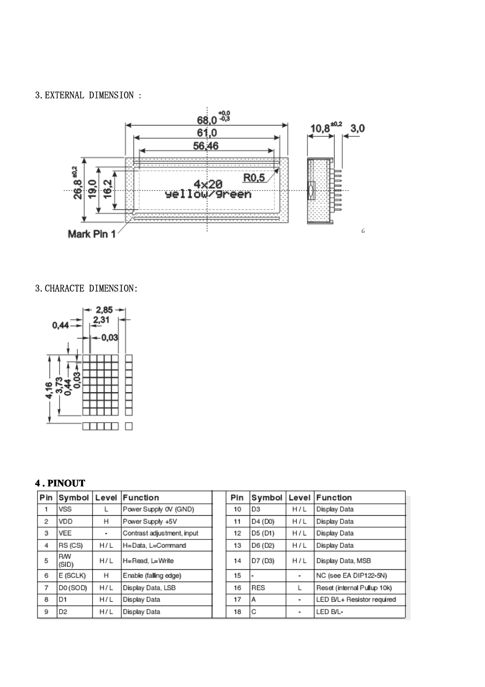#### 3.EXTERNAL DIMENSION :



#### 3.CHARACTE DIMENSION:



## **4 . PINOUT**

| Pin | Symbol Level |     | Function                   | Pin | Symbol      |                | Level Function              |
|-----|--------------|-----|----------------------------|-----|-------------|----------------|-----------------------------|
|     | VSS          |     | Power Supply 0V (GND)      | 10  | l D3        | H/L            | Display Data                |
| 2   | VDD          | н   | Power Supply +5V           | 11  | D4 (D0)     | H/L            | Display Data                |
| 3   | VEE          | ۰   | Contrast adjustment, input | 12  | D5 (D1)     | H/L            | Display Data                |
| 4   | RS (CS)      | H/L | H=Data, L=Command          | 13  | D6 (D2)     | H/L            | Display Data                |
| 5   | RW<br>(SID)  | H/L | H=Read, L=Write            | 14  | D7 (D3)     | H/L            | Display Data, MSB           |
| 6   | E (SCLK)     | н   | Enable (falling edge)      | 15  |             | $\blacksquare$ | NC (see EA DIP122-5N)       |
| 7   | DO (SOD)     | H/L | Display Data, LSB          | 16  | <b>IRES</b> |                | Reset (internal Pullup 10k) |
| 8   | D1           | H/L | Display Data               | 17  | ١A          | ٠              | LED B/L+ Resistor required  |
| 9   | D2           | H/L | Display Data               | 18  | C           | ٠              | LED B/L-                    |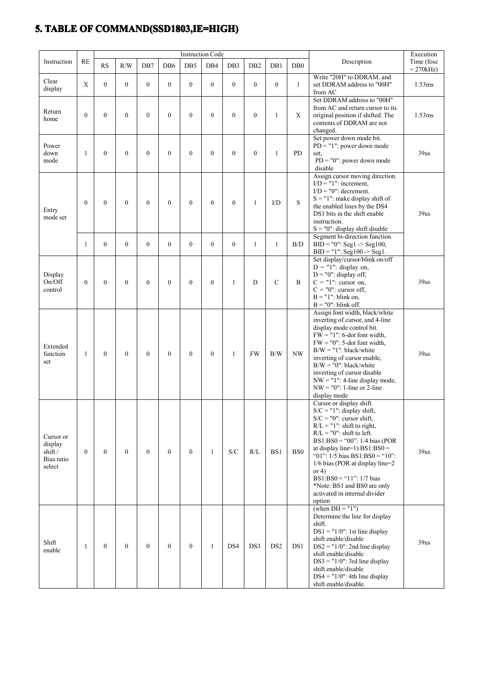# **5. TABLE OF COMMAND(SSD1803,IE=HIGH) COMMAND(SSD1803,IE=HIGH) COMMAND(SSD1803,IE=HIGH)**

|                                                        |                  |                |                |                |                  | <b>Instruction Code</b> |                | Execution       |                  |                 |                 |                                                                                                                                                                                                                                                                                                                                                                                                                            |                          |
|--------------------------------------------------------|------------------|----------------|----------------|----------------|------------------|-------------------------|----------------|-----------------|------------------|-----------------|-----------------|----------------------------------------------------------------------------------------------------------------------------------------------------------------------------------------------------------------------------------------------------------------------------------------------------------------------------------------------------------------------------------------------------------------------------|--------------------------|
| Instruction                                            | <b>RE</b>        | <b>RS</b>      | R/W            | DB7            | DB6              | DB5                     | DB4            | DB <sub>3</sub> | D <sub>B</sub> 2 | DB1             | DB <sub>0</sub> | Description                                                                                                                                                                                                                                                                                                                                                                                                                | Time (fosc<br>$= 270kHz$ |
| Clear<br>display                                       | X                | $\overline{0}$ | $\theta$       | $\overline{0}$ | $\mathbf{0}$     | $\mathbf{0}$            | $\overline{0}$ | $\theta$        | $\theta$         | $\mathbf{0}$    | $\mathbf{1}$    | Write "20H" to DDRAM. and<br>set DDRAM address to "00H"<br>from AC                                                                                                                                                                                                                                                                                                                                                         | 1.53ms                   |
| Return<br>home                                         | $\mathbf{0}$     | $\mathbf{0}$   | $\theta$       | $\mathbf{0}$   | $\mathbf{0}$     | $\mathbf{0}$            | $\theta$       | $\theta$        | $\theta$         | $\mathbf{1}$    | $\mathbf X$     | Set DDRAM address to "00H"<br>from AC and return cursor to its<br>original position if shifted. The<br>contents of DDRAM are not<br>changed.                                                                                                                                                                                                                                                                               | 1.53ms                   |
| Power<br>down<br>mode                                  | 1                | $\mathbf{0}$   | $\theta$       | $\theta$       | $\mathbf{0}$     | $\theta$                | $\theta$       | $\theta$        | $\mathbf{0}$     | $\mathbf{1}$    | <b>PD</b>       | Set power down mode bit.<br>$PD = "1"$ : power down mode<br>set.<br>$PD = "0"$ : power down mode<br>disable                                                                                                                                                                                                                                                                                                                | 39us                     |
| Entry<br>mode set                                      | $\theta$         | $\mathbf{0}$   | $\mathbf{0}$   | $\mathbf{0}$   | $\mathbf{0}$     | $\mathbf{0}$            | $\theta$       | $\mathbf{0}$    | 1                | $\mathbf{ID}$   | S               | Assign cursor moving direction.<br>$I/D = "1"$ : increment,<br>$I/D = "0"$ : decrement.<br>$S = "1"$ : make display shift of<br>the enabled lines by the DS4<br>DS1 bits in the shift enable<br>instruction.<br>$S = "0"$ : display shift disable                                                                                                                                                                          | 39us                     |
|                                                        | 1                | $\overline{0}$ | $\overline{0}$ | $\mathbf{0}$   | $\mathbf{0}$     | $\mathbf{0}$            | $\overline{0}$ | $\mathbf{0}$    | 1                | $\mathbf{1}$    | B/D             | Segment bi-direction function.<br>$BID = "0": Seg1 > Seg100,$<br>$BID = "1": Seg100 > Seg1.$                                                                                                                                                                                                                                                                                                                               |                          |
| Display<br>On/Off<br>control                           | $\boldsymbol{0}$ | $\mathbf{0}$   | $\mathbf{0}$   | $\mathbf{0}$   | $\boldsymbol{0}$ | $\mathbf{0}$            | $\mathbf{0}$   | 1               | D                | $\mathcal{C}$   | B               | Set display/cursor/blink on/off<br>$D = "1"$ : display on,<br>$D = "0"$ : display off,<br>$C = "1"$ : cursor on,<br>$C = "0"$ : cursor off,<br>$B = "1"$ : blink on,<br>$B = "0"$ : blink off.                                                                                                                                                                                                                             | 39us                     |
| Extended<br>function<br>set                            | -1               | $\mathbf{0}$   | $\mathbf{0}$   | $\mathbf{0}$   | $\mathbf{0}$     | $\theta$                | $\theta$       | 1               | <b>FW</b>        | B/W             | NW              | Assign font width, black/white<br>inverting of cursor, and 4-line<br>display mode control bit.<br>$FW = "1"$ : 6-dot font width,<br>$FW = "0"$ : 5-dot font width,<br>$B/W = "1"$ : black/white<br>inverting of cursor enable,<br>$B/W = "0"$ : black/white<br>inverting of cursor disable<br>$NW = "1"$ : 4-line display mode,<br>$NW = "0"$ : 1-line or 2-line<br>display mode                                           | 39us                     |
| Cursor or<br>display<br>shift/<br>Bias ratio<br>select | $\mathbf{0}$     | $\theta$       | $\theta$       | $\theta$       | $\mathbf{0}$     | $\Omega$                | 1              | S/C             | R/L              | BS1             | BS <sub>0</sub> | Cursor or display shift.<br>$S/C = "1"$ : display shift,<br>$S/C = "0"$ : cursor shift,<br>$R/L = "1"$ : shift to right,<br>$R/L = "0"$ : shift to left.<br>BS1:BS0 = "00": $1/4$ bias (POR<br>at display line=1) $BS1:BS0 =$<br>"01": $1/5$ bias BS1:BS0 = "10":<br>$1/6$ bias (POR at display line=2<br>or $4)$<br>$BS1:BS0 = "11" : 1/7 bias$<br>*Note: BS1 and BS0 are only<br>activated in internal divider<br>option | 39 <sub>us</sub>         |
| Shift<br>enable                                        | 1                | $\overline{0}$ | $\theta$       | $\overline{0}$ | $\mathbf{0}$     | $\overline{0}$          | 1              | DS4             | DS3              | DS <sub>2</sub> | DS1             | (when $DH = "1")$<br>Determine the line for display<br>shift.<br>$DS1 = "1/0"$ : 1st line display<br>shift enable/disable<br>$DS2 = "1/0"$ : 2nd line display<br>shift enable/disable<br>$DS3 = "1/0"$ : 3rd line display<br>shift enable/disable<br>$DS4 = "1/0"$ : 4th line display<br>shift enable/disable.                                                                                                             | 39us                     |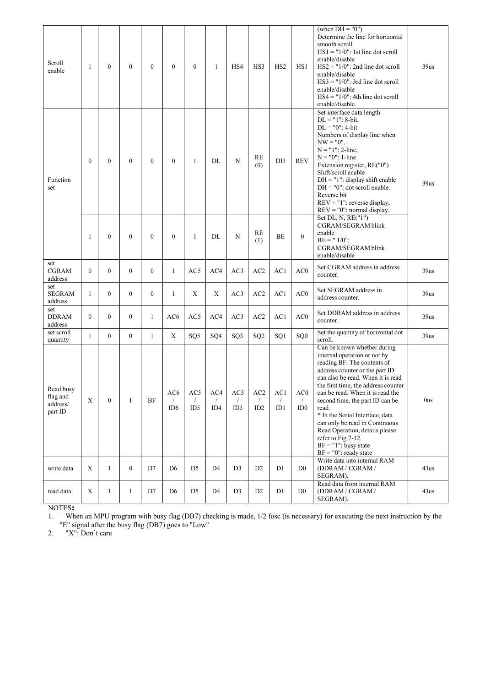| Scroll<br>enable                             | 1                | $\theta$         | $\mathbf{0}$   | $\overline{0}$   | $\boldsymbol{0}$         | $\theta$                 | $\mathbf{1}$             | HS4                      | HS3                                  | HS <sub>2</sub>          | HS1                            | (when $DH = "0")$<br>Determine the line for horizontal<br>smooth scroll.<br>$HS1 = "1/0"$ : 1st line dot scroll<br>enable/disable<br>$HS2 = "1/0"$ : 2nd line dot scroll<br>enable/disable<br>$HS3 = "1/0"$ : 3rd line dot scroll<br>enable/disable<br>$HS4 = "1/0"$ : 4th line dot scroll<br>enable/disable.                                                                                                                                                                 | 39us |
|----------------------------------------------|------------------|------------------|----------------|------------------|--------------------------|--------------------------|--------------------------|--------------------------|--------------------------------------|--------------------------|--------------------------------|-------------------------------------------------------------------------------------------------------------------------------------------------------------------------------------------------------------------------------------------------------------------------------------------------------------------------------------------------------------------------------------------------------------------------------------------------------------------------------|------|
| Function<br>set                              | $\boldsymbol{0}$ | $\boldsymbol{0}$ | $\mathbf{0}$   | $\boldsymbol{0}$ | $\boldsymbol{0}$         | 1                        | DL                       | N                        | RE<br>(0)                            | DH                       | <b>REV</b>                     | Set interface data length<br>$DL = "1": 8-bit,$<br>$DL = "0"$ : 4-bit<br>Numbers of display line when<br>$NW = "0",$<br>$N = "1": 2-line,$<br>$N = "0": 1$ -line<br>Extension register, RE("0")<br>Shift/scroll enable<br>$DH = "1"$ : display shift enable<br>$DH = "0"$ : dot scroll enable.<br>Reverse bit<br>$REV = "1"$ : reverse display,<br>$REV = "0"$ : normal display.                                                                                              | 39us |
|                                              | 1                | $\overline{0}$   | $\mathbf{0}$   | $\mathbf{0}$     | $\boldsymbol{0}$         | 1                        | DL                       | N                        | RE<br>(1)                            | <b>BE</b>                | $\theta$                       | Set DL, N, RE("1")<br>CGRAM/SEGRAM blink<br>enable<br>$BE = "1/0":$<br>CGRAM/SEGRAM blink<br>enable/disable                                                                                                                                                                                                                                                                                                                                                                   |      |
| set<br><b>CGRAM</b><br>address               | $\mathbf{0}$     | $\theta$         | $\overline{0}$ | $\mathbf{0}$     | $\mathbf{1}$             | AC5                      | AC4                      | AC3                      | AC2                                  | AC1                      | AC0                            | Set CGRAM address in address<br>counter.                                                                                                                                                                                                                                                                                                                                                                                                                                      | 39us |
| set<br><b>SEGRAM</b><br>address              | $\mathbf{1}$     | $\overline{0}$   | $\theta$       | $\overline{0}$   | $\mathbf{1}$             | X                        | X                        | AC3                      | AC2                                  | AC1                      | AC0                            | Set SEGRAM address in<br>address counter.                                                                                                                                                                                                                                                                                                                                                                                                                                     | 39us |
| set<br><b>DDRAM</b><br>address               | $\boldsymbol{0}$ | $\overline{0}$   | $\overline{0}$ | $\mathbf{1}$     | AC <sub>6</sub>          | AC5                      | AC4                      | AC3                      | AC <sub>2</sub>                      | AC1                      | AC0                            | Set DDRAM address in address<br>counter.                                                                                                                                                                                                                                                                                                                                                                                                                                      | 39us |
| set scroll<br>quantity                       | $\mathbf{1}$     | $\overline{0}$   | $\overline{0}$ | $\mathbf{1}$     | X                        | SQ <sub>5</sub>          | SQ4                      | SQ3                      | SQ <sub>2</sub>                      | SQ1                      | SQ <sub>0</sub>                | Set the quantity of horizontal dot<br>scroll.                                                                                                                                                                                                                                                                                                                                                                                                                                 | 39us |
| Read busy<br>flag and<br>address/<br>part ID | X                | $\mathbf{0}$     | 1              | BF               | AC6<br>$\sqrt{2}$<br>ID6 | AC5<br>$\sqrt{2}$<br>ID5 | AC4<br>$\sqrt{2}$<br>ID4 | AC3<br>$\sqrt{2}$<br>ID3 | AC <sub>2</sub><br>$\sqrt{2}$<br>ID2 | AC1<br>$\sqrt{2}$<br>ID1 | $\rm AC0$<br>$\sqrt{2}$<br>ID0 | Can be known whether during<br>internal operation or not by<br>reading BF. The contents of<br>address counter or the part ID<br>can also be read. When it is read<br>the first time, the address counter<br>can be read. When it is read the<br>second time, the part ID can be<br>read.<br>* In the Serial Interface, data<br>can only be read in Continuous<br>Read Operation, details please<br>refer to Fig. 7-12.<br>$BF = "1"$ : busy state<br>$BF = "0"$ : ready state | 0us  |
| write data                                   | $\mathbf X$      | $\mathbf{1}$     | $\overline{0}$ | D7               | D <sub>6</sub>           | D <sub>5</sub>           | D <sub>4</sub>           | D <sub>3</sub>           | D <sub>2</sub>                       | D <sub>1</sub>           | D <sub>0</sub>                 | Write data into internal RAM<br>(DDRAM / CGRAM /<br>SEGRAM).                                                                                                                                                                                                                                                                                                                                                                                                                  | 43us |
| read data                                    | $\mathbf X$      | $\mathbf{1}$     | $\mathbf{1}$   | D7               | D <sub>6</sub>           | D <sub>5</sub>           | D <sub>4</sub>           | D <sub>3</sub>           | D2                                   | D <sub>1</sub>           | D <sub>0</sub>                 | Read data from internal RAM<br>(DDRAM / CGRAM /<br>SEGRAM).                                                                                                                                                                                                                                                                                                                                                                                                                   | 43us |

NOTES**:**

1. When an MPU program with busy flag (DB7) checking is made, 1/2 fosc (is necessary) for executing the next instruction by the "E" signal after the busy flag (DB7) goes to"Low"

2. "X": Don't care